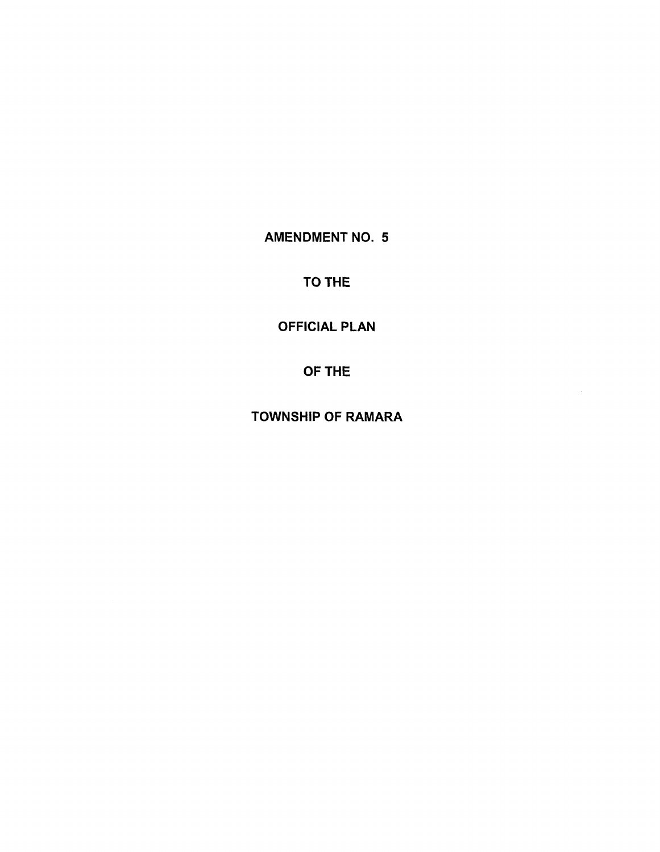## AMENDMENT NO. 5

TO THE

### OFFICIAL PLAN

OF THE

TOWNSHIP OF RAMARA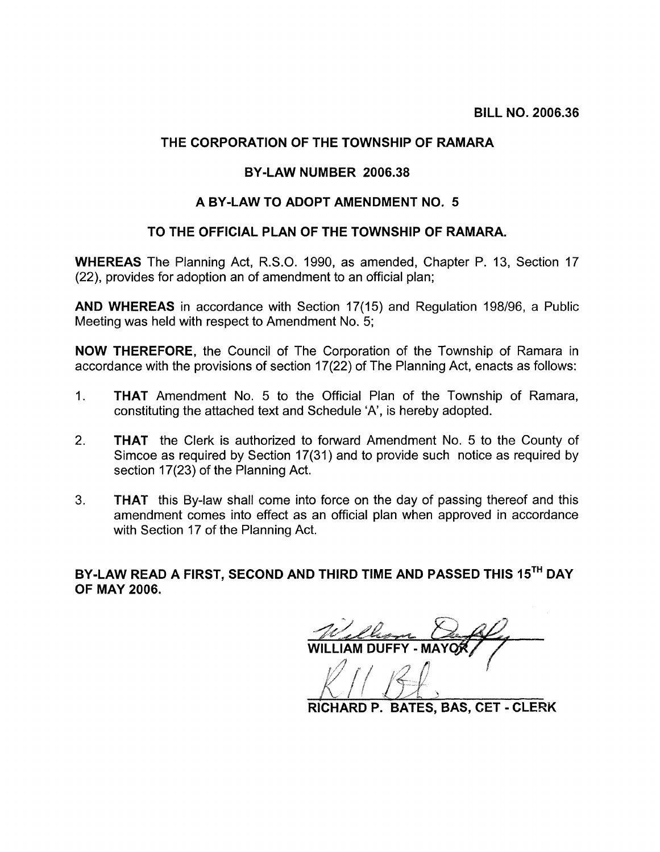### THE CORPORATION OF THE TOWNSHIP OF RAMARA

#### BY ·LAW NUMBER 2006.38

#### A BY ·LAW TO ADOPT AMENDMENT NO. 5

#### TO THE OFFICIAL PLAN OF THE TOWNSHIP OF RAMARA.

WHEREAS The Planning Act, R.S.O. 1990, as amended, Chapter P. 13, Section 17 (22), provides for adoption an of amendment to an official plan;

AND WHEREAS in accordance with Section 17(15) and Regulation 198/96, a Public Meeting was held with respect to Amendment No. 5;

NOW THEREFORE, the Council of The Corporation of the Township of Ramara in accordance with the provisions of section 17(22) of The Planning Act, enacts as follows:

- 1. THAT Amendment No. 5 to the Official Plan of the Township of Ramara, constituting the attached text and Schedule 'A', is hereby adopted.
- 2. THAT the Clerk is authorized to forward Amendment No. 5 to the County of Simcoe as required by Section 17(31) and to provide such notice as required by section 17(23) of the Planning Act.
- 3. THAT this By-law shall come into force on the day of passing thereof and this amendment comes into effect as an official plan when approved in accordance with Section 17 of the Planning Act.

BY-LAW READ A FIRST, SECOND AND THIRD TIME AND PASSED THIS 15TH DAY OF MAY 2006.

<u>William X</u>

**RICHARD P. BATES, BAS, CET - CLERK**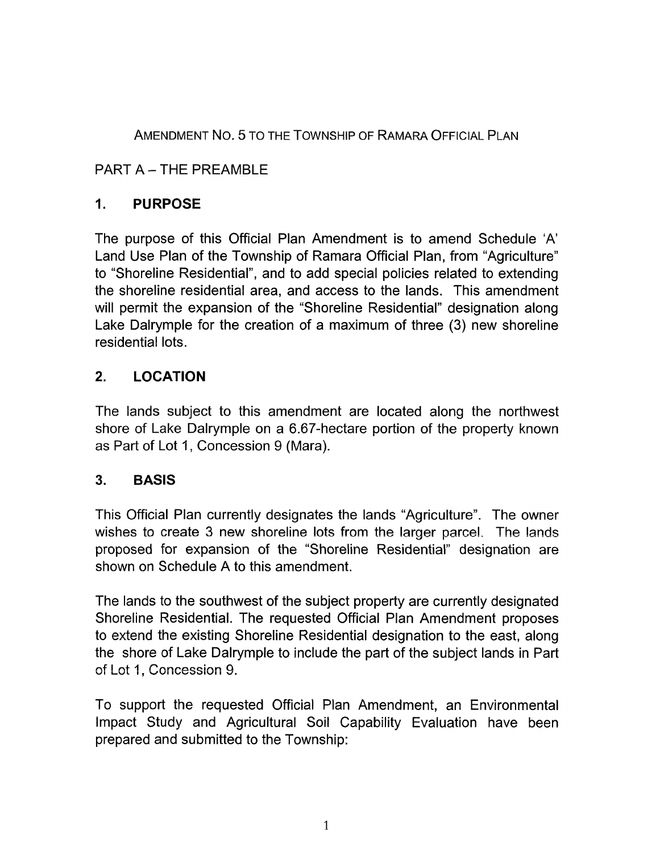AMENDMENT NO.5 TO THE TOWNSHIP OF RAMARA OFFICIAL PLAN

# PART A - THE PREAMBLE

# 1. **PURPOSE**

The purpose of this Official Plan Amendment is to amend Schedule 'A' Land Use Plan of the Township of Ramara Official Plan, from "Agriculture" to "Shoreline Residential", and to add special policies related to extending the shoreline residential area, and access to the lands. This amendment will permit the expansion of the "Shoreline Residential" designation along Lake Dalrymple for the creation of a maximum of three (3) new shoreline residential lots.

# 2. **LOCATION**

The lands subject to this amendment are located along the northwest shore of Lake Dalrymple on a 6.67 -hectare portion of the property known as Part of Lot 1, Concession 9 (Mara).

## 3. **BASIS**

This Official Plan currently designates the lands "Agriculture". The owner wishes to create 3 new shoreline lots from the larger parcel. The lands proposed for expansion of the "Shoreline Residential" designation are shown on Schedule A to this amendment.

The lands to the southwest of the subject property are currently designated Shoreline Residential. The requested Official Plan Amendment proposes to extend the existing Shoreline Residential designation to the east, along the shore of Lake Dalrymple to include the part of the subject lands in Part of Lot 1, Concession 9.

To support the requested Official Plan Amendment, an Environmental Impact Study and Agricultural Soil Capability Evaluation have been prepared and submitted to the Township: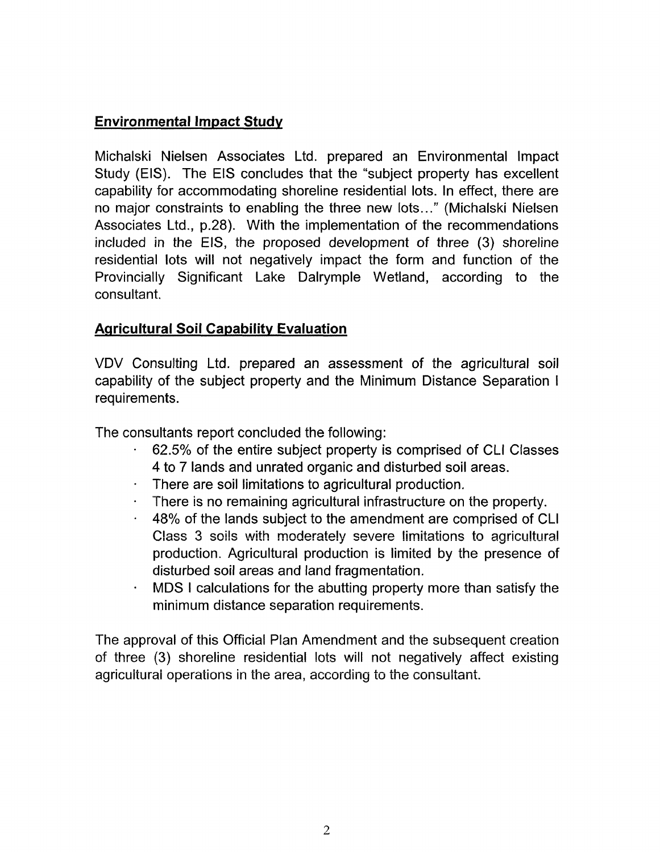## **Environmental Impact Study**

Michalski Nielsen Associates Ltd. prepared an Environmental Impact Study (EIS). The EIS concludes that the "subject property has excellent capability for accommodating shoreline residential lots. In effect, there are no major constraints to enabling the three new lots ... " (Michalski Nielsen Associates Ltd., p.28). With the implementation of the recommendations included in the EIS, the proposed development of three (3) shoreline residential lots will not negatively impact the form and function of the Provincially Significant Lake Dalrymple Wetland, according to the consultant.

## **Agricultural Soil Capability Evaluation**

VDV Consulting Ltd. prepared an assessment of the agricultural soil capability of the subject property and the Minimum Distance Separation I requirements.

The consultants report concluded the following:

- 62.5% of the entire subject property is comprised of CLI Classes 4 to 7 lands and unrated organic and disturbed soil areas.
- There are soil limitations to agricultural production.  $\mathbf{r}^{\left(1\right)}$
- There is no remaining agricultural infrastructure on the property.
- 48% of the lands subject to the amendment are comprised of CLI  $\mathcal{L}^{\pm}$ Class 3 soils with moderately severe limitations to agricultural production. Agricultural production is limited by the presence of disturbed soil areas and land fragmentation.
- $\hat{\mathbf{r}}$ MDS I calculations for the abutting property more than satisfy the minimum distance separation requirements.

The approval of this Official Plan Amendment and the subsequent creation of three (3) shoreline residential lots will not negatively affect existing agricultural operations in the area, according to the consultant.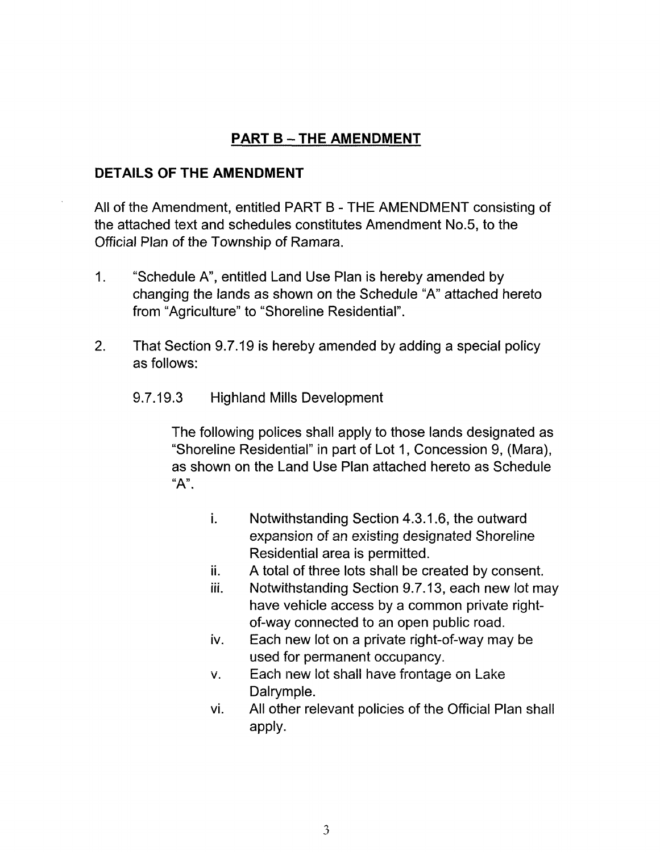## **PART B - THE AMENDMENT**

### **DETAILS OF THE AMENDMENT**

All of the Amendment, entitled PART B - THE AMENDMENT consisting of the attached text and schedules constitutes Amendment No.5, to the Official Plan of the Township of Ramara.

- 1. "Schedule A", entitled Land Use Plan is hereby amended by changing the lands as shown on the Schedule "A" attached hereto from "Agriculture" to "Shoreline Residential".
- 2. That Section 9.7.19 is hereby amended by adding a special policy as follows:

### 9.7.19.3 Highland Mills Development

The following polices shall apply to those lands designated as "Shoreline Residential" in part of Lot 1, Concession 9, (Mara), as shown on the Land Use Plan attached hereto as Schedule **"An.** 

- i. Notwithstanding Section 4.3.1.6, the outward expansion of an existing designated Shoreline Residential area is permitted.
- ii. A total of three lots shall be created by consent.
- iii. Notwithstanding Section 9.7.13, each new lot may have vehicle access by a common private rightof-way connected to an open public road.
- iv. Each new lot on a private right-of-way may be used for permanent occupancy.
- v. Each new lot shall have frontage on Lake Dalrymple.
- vi. All other relevant policies of the Official Plan shall apply.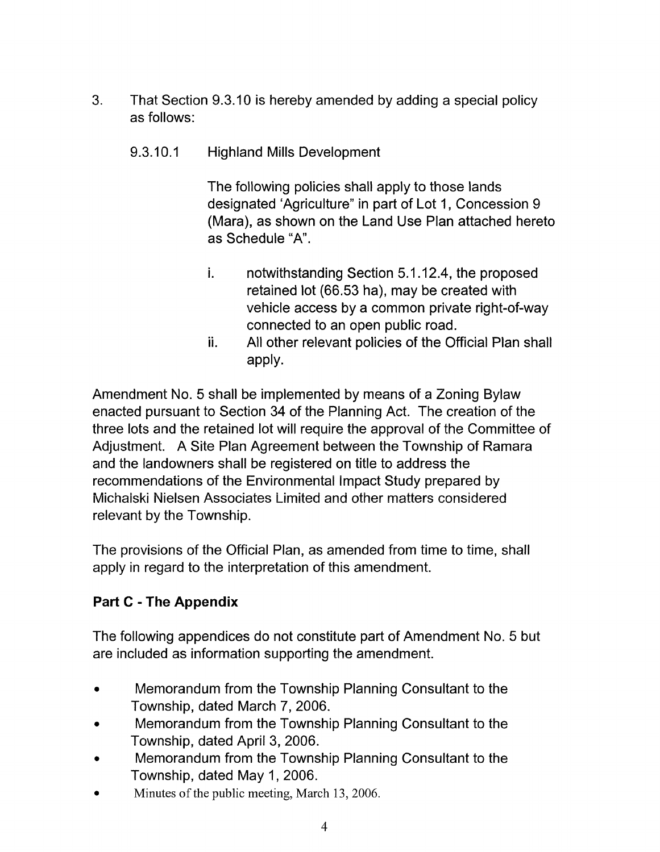- 3. That Section 9.3.10 is hereby amended by adding a special policy as follows:
	- 9.3.10.1 Highland Mills Development

The following pOlicies shall apply to those lands designated 'Agriculture" in part of Lot 1, Concession 9 (Mara), as shown on the Land Use Plan attached hereto as Schedule "A".

- i. notwithstanding Section 5.1.12.4, the proposed retained lot (66.53 ha), may be created with vehicle access by a common private right-of-way connected to an open public road.
- ii. All other relevant policies of the Official Plan shall apply.

Amendment No. 5 shall be implemented by means of a Zoning Bylaw enacted pursuant to Section 34 of the Planning Act. The creation of the three lots and the retained lot will require the approval of the Committee of Adjustment. A Site Plan Agreement between the Township of Ramara and the landowners shall be registered on title to address the recommendations of the Environmental Impact Study prepared by Michalski Nielsen Associates Limited and other matters considered relevant by the Township.

The provisions of the Official Plan, as amended from time to time, shall apply in regard to the interpretation of this amendment.

## **Part C - The Appendix**

The following appendices do not constitute part of Amendment NO.5 but are included as information supporting the amendment.

- Memorandum from the Township Planning Consultant to the Township, dated March 7, 2006.
- Memorandum from the Township Planning Consultant to the Township, dated April 3, 2006.
- Memorandum from the Township Planning Consultant to the Township, dated May 1, 2006.
- Minutes of the public meeting, March 13, 2006.